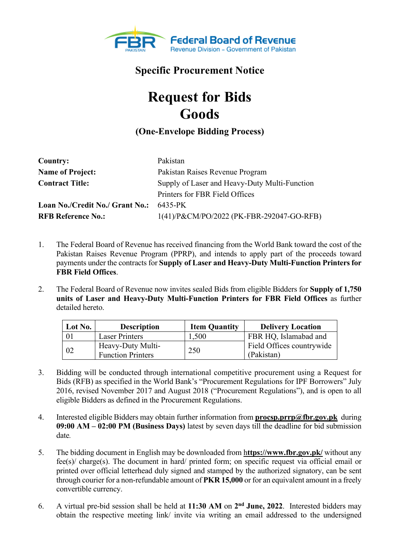

## **Specific Procurement Notice**

## **Request for Bids Goods**

## **(One-Envelope Bidding Process)**

| <b>Country:</b>                 | Pakistan                                      |  |
|---------------------------------|-----------------------------------------------|--|
| <b>Name of Project:</b>         | Pakistan Raises Revenue Program               |  |
| <b>Contract Title:</b>          | Supply of Laser and Heavy-Duty Multi-Function |  |
|                                 | Printers for FBR Field Offices                |  |
| Loan No./Credit No./ Grant No.: | 6435-PK                                       |  |
| <b>RFB Reference No.:</b>       | 1(41)/P&CM/PO/2022 (PK-FBR-292047-GO-RFB)     |  |

- 1. The Federal Board of Revenue has received financing from the World Bank toward the cost of the Pakistan Raises Revenue Program (PPRP), and intends to apply part of the proceeds toward payments under the contracts for **Supply of Laser and Heavy-Duty Multi-Function Printers for FBR Field Offices**.
- 2. The Federal Board of Revenue now invites sealed Bids from eligible Bidders for **Supply of 1,750 units of Laser and Heavy-Duty Multi-Function Printers for FBR Field Offices** as further detailed hereto.

| Lot No.     | <b>Description</b>                            | <b>Item Quantity</b> | <b>Delivery Location</b>                |
|-------------|-----------------------------------------------|----------------------|-----------------------------------------|
| 01          | <b>Laser Printers</b>                         | 1,500                | FBR HQ, Islamabad and                   |
| $\sqrt{02}$ | Heavy-Duty Multi-<br><b>Function Printers</b> | 250                  | Field Offices countrywide<br>(Pakistan) |

- 3. Bidding will be conducted through international competitive procurement using a Request for Bids (RFB) as specified in the World Bank's "Procurement Regulations for IPF Borrowers" July 2016, revised November 2017 and August 2018 ("Procurement Regulations"), and is open to all eligible Bidders as defined in the Procurement Regulations.
- 4. Interested eligible Bidders may obtain further information from **procsp.prrp@fbr.gov.pk** during **09:00 AM – 02:00 PM (Business Days)** latest by seven days till the deadline for bid submission date*.*
- 5. The bidding document in English may be downloaded from h**ttps://www.fbr.gov.pk/** without any fee(s)/ charge(s). The document in hard/ printed form; on specific request via official email or printed over official letterhead duly signed and stamped by the authorized signatory, can be sent through courier for a non-refundable amount of **PKR 15,000** or for an equivalent amount in a freely convertible currency.
- 6. A virtual pre-bid session shall be held at 11:30 AM on 2<sup>nd</sup> June, 2022. Interested bidders may obtain the respective meeting link/ invite via writing an email addressed to the undersigned